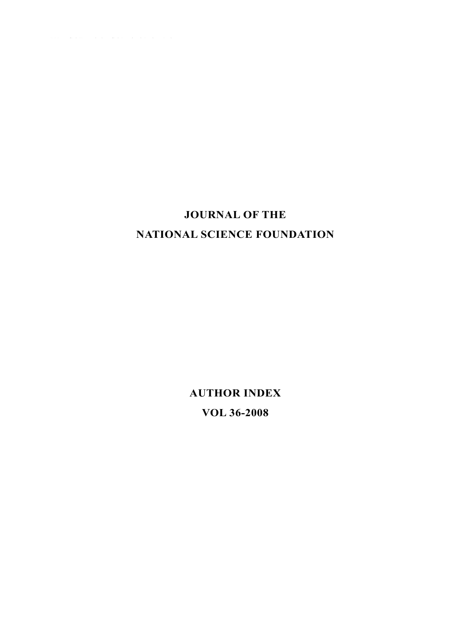## **JOURNAL OF THE NATIONAL SCIENCE FOUNDATION**

**AUTHOR INDEX VOL 36-2008**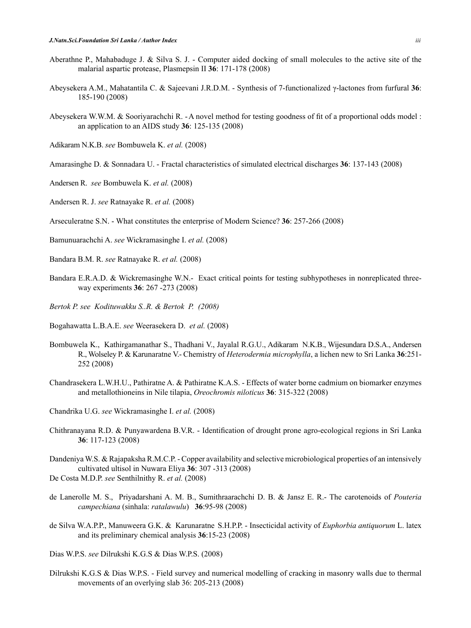- Aberathne P., Mahabaduge J. & Silva S. J. Computer aided docking of small molecules to the active site of the malarial aspartic protease, Plasmepsin II **36**: 171-178 (2008)
- Abeysekera A.M., Mahatantila C. & Sajeevani J.R.D.M. Synthesis of 7-functionalized γ-lactones from furfural **36**: 185-190 (2008)
- Abeysekera W.W.M. & Sooriyarachchi R. -A novel method for testing goodness of fit of a proportional odds model : an application to an AIDS study **36**: 125-135 (2008)
- Adikaram N.K.B. *see* Bombuwela K. *et al.* (2008)
- Amarasinghe D. & Sonnadara U. Fractal characteristics of simulated electrical discharges **36**: 137-143 (2008)
- Andersen R. *see* Bombuwela K. *et al.* (2008)

Andersen R. J. *see* Ratnayake R. *et al.* (2008)

- Arseculeratne S.N. What constitutes the enterprise of Modern Science? **36**: 257-266 (2008)
- Bamunuarachchi A. *see* Wickramasinghe I. *et al.* (2008)
- Bandara B.M. R. *see* Ratnayake R. *et al.* (2008)
- Bandara E.R.A.D. & Wickremasinghe W.N.- Exact critical points for testing subhypotheses in nonreplicated threeway experiments **36**: 267 -273 (2008)
- *Bertok P. see Kodituwakku S..R. & Bertok P. (2008)*
- Bogahawatta L.B.A.E. *see* Weerasekera D. *et al.* (2008)
- Bombuwela K., Kathirgamanathar S., Thadhani V., Jayalal R.G.U., Adikaram N.K.B., Wijesundara D.S.A., Andersen R., Wolseley P. & Karunaratne V.- Chemistry of *Heterodermia microphylla*, a lichen new to Sri Lanka **36**:251- 252 (2008)
- Chandrasekera L.W.H.U., Pathiratne A. & Pathiratne K.A.S. Effects of water borne cadmium on biomarker enzymes and metallothioneins in Nile tilapia, *Oreochromis niloticus* **36**: 315-322 (2008)
- Chandrika U.G. *see* Wickramasinghe I. *et al.* (2008)
- Chithranayana R.D. & Punyawardena B.V.R. Identification of drought prone agro-ecological regions in Sri Lanka **36**: 117-123 (2008)
- Dandeniya W.S. & Rajapaksha R.M.C.P. Copper availability and selective microbiological properties of an intensively cultivated ultisol in Nuwara Eliya **36**: 307 -313 (2008) De Costa M.D.P. *see* Senthilnithy R. *et al.* (2008)
- 
- de Lanerolle M. S., Priyadarshani A. M. B., Sumithraarachchi D. B. & Jansz E. R.- The carotenoids of *Pouteria campechiana* (sinhala: *ratalawulu*) **36**:95-98 (2008)
- de Silva W.A.P.P., Manuweera G.K. & Karunaratne S.H.P.P. Insecticidal activity of *Euphorbia antiquorum* L. latex and its preliminary chemical analysis **36**:15-23 (2008)
- Dias W.P.S. *see* Dilrukshi K.G.S & Dias W.P.S. (2008)
- Dilrukshi K.G.S & Dias W.P.S. Field survey and numerical modelling of cracking in masonry walls due to thermal movements of an overlying slab 36: 205-213 (2008)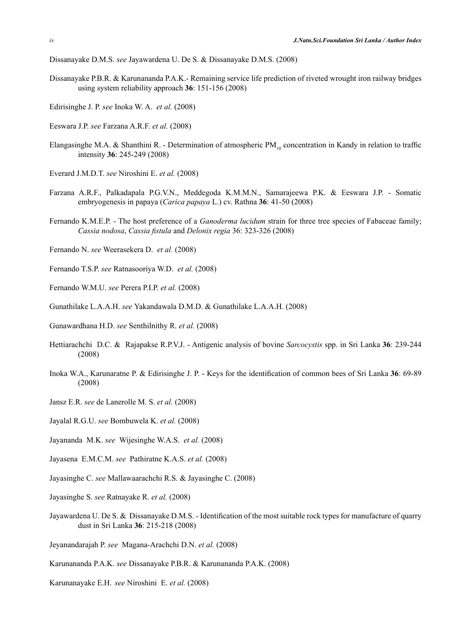Dissanayake D.M.S. *see* Jayawardena U. De S. & Dissanayake D.M.S. (2008)

- Dissanayake P.B.R. & Karunananda P.A.K.- Remaining service life prediction of riveted wrought iron railway bridges using system reliability approach **36**: 151-156 (2008)
- Edirisinghe J. P. *see* Inoka W. A. *et al.* (2008)
- Eeswara J.P. *see* Farzana A.R.F. *et al.* (2008)
- Elangasinghe M.A. & Shanthini R. Determination of atmospheric PM<sub>10</sub> concentration in Kandy in relation to traffic intensity **36**: 245-249 (2008)
- Everard J.M.D.T. *see* Niroshini E. *et al.* (2008)
- Farzana A.R.F., Palkadapala P.G.V.N., Meddegoda K.M.M.N., Samarajeewa P.K. & Eeswara J.P. Somatic embryogenesis in papaya (*Carica papaya* L.) cv. Rathna **36**: 41-50 (2008)
- Fernando K.M.E.P. The host preference of a *Ganoderma lucidum* strain for three tree species of Fabaceae family; *Cassia nodosa*, *Cassia fistula* and *Delonix regia* 36: 323-326 (2008)
- Fernando N. *see* Weerasekera D. *et al.* (2008)
- Fernando T.S.P. *see* Ratnasooriya W.D. *et al.* (2008)
- Fernando W.M.U. *see* Perera P.I.P. *et al.* (2008)
- Gunathilake L.A.A.H. *see* Yakandawala D.M.D. & Gunathilake L.A.A.H. (2008)
- Gunawardhana H.D. *see* Senthilnithy R. *et al.* (2008)
- Hettiarachchi D.C. & Rajapakse R.P.V.J. Antigenic analysis of bovine *Sarcocystis* spp. in Sri Lanka **36**: 239-244 (2008)
- Inoka W.A., Karunaratne P. & Edirisinghe J. P. Keys for the identification of common bees of Sri Lanka **36**: 69-89 (2008)
- Jansz E.R. *see* de Lanerolle M. S. *et al.* (2008)
- Jayalal R.G.U. *see* Bombuwela K. *et al.* (2008)
- Jayananda M.K. *see* Wijesinghe W.A.S. *et al.* (2008)
- Jayasena E.M.C.M. *see* Pathiratne K.A.S. *et al.* (2008)
- Jayasinghe C. *see* Mallawaarachchi R.S. & Jayasinghe C. (2008)
- Jayasinghe S. *see* Ratnayake R. *et al.* (2008)
- Jayawardena U. De S. & Dissanayake D.M.S. Identification of the most suitable rock types for manufacture of quarry dust in Sri Lanka **36**: 215-218 (2008)
- Jeyanandarajah P. *see* Magana-Arachchi D.N. *et al.* (2008)
- Karunananda P.A.K. *see* Dissanayake P.B.R. & Karunananda P.A.K. (2008)
- Karunanayake E.H. *see* Niroshini E. *et al.* (2008)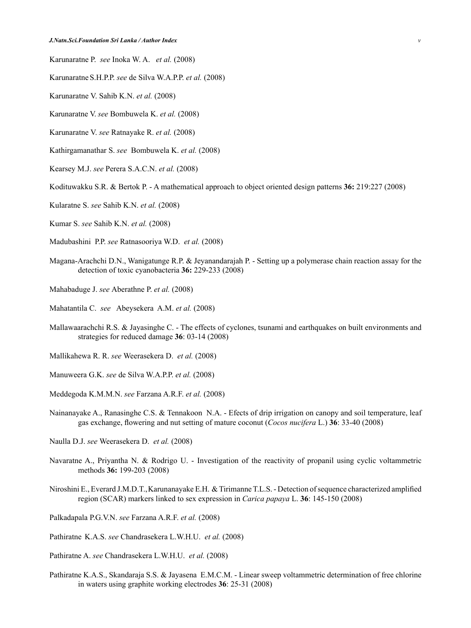Karunaratne P. *see* Inoka W. A. *et al.* (2008)

Karunaratne S.H.P.P. *see* de Silva W.A.P.P. *et al.* (2008)

Karunaratne V. Sahib K.N. *et al.* (2008)

Karunaratne V. *see* Bombuwela K. *et al.* (2008)

Karunaratne V. *see* Ratnayake R. *et al.* (2008)

Kathirgamanathar S. *see* Bombuwela K. *et al.* (2008)

Kearsey M.J. *see* Perera S.A.C.N. *et al.* (2008)

Kodituwakku S.R. & Bertok P. - A mathematical approach to object oriented design patterns **36:** 219:227 (2008)

Kularatne S. *see* Sahib K.N. *et al.* (2008)

Kumar S. *see* Sahib K.N. *et al.* (2008)

Madubashini P.P. *see* Ratnasooriya W.D. *et al.* (2008)

- Magana-Arachchi D.N., Wanigatunge R.P. & Jeyanandarajah P. Setting up a polymerase chain reaction assay for the detection of toxic cyanobacteria **36:** 229-233 (2008)
- Mahabaduge J. *see* Aberathne P. *et al.* (2008)

Mahatantila C. *see* Abeysekera A.M. *et al.* (2008)

Mallawaarachchi R.S. & Jayasinghe C. - The effects of cyclones, tsunami and earthquakes on built environments and strategies for reduced damage **36**: 03-14 (2008)

Mallikahewa R. R. *see* Weerasekera D. *et al.* (2008)

Manuweera G.K. *see* de Silva W.A.P.P. *et al.* (2008)

Meddegoda K.M.M.N. *see* Farzana A.R.F. *et al.* (2008)

Nainanayake A., Ranasinghe C.S. & Tennakoon N.A. - Efects of drip irrigation on canopy and soil temperature, leaf gas exchange, flowering and nut setting of mature coconut (*Cocos nucifera* L.) **36**: 33-40 (2008)

Naulla D.J. *see* Weerasekera D. *et al.* (2008)

- Navaratne A., Priyantha N. & Rodrigo U. Investigation of the reactivity of propanil using cyclic voltammetric methods **36:** 199-203 (2008)
- Niroshini E., Everard J.M.D.T., Karunanayake E.H. & Tirimanne T.L.S. Detection of sequence characterized amplified region (SCAR) markers linked to sex expression in *Carica papaya* L. **36**: 145-150 (2008)

Palkadapala P.G.V.N. *see* Farzana A.R.F. *et al.* (2008)

Pathiratne K.A.S. *see* Chandrasekera L.W.H.U. *et al.* (2008)

Pathiratne A. *see* Chandrasekera L.W.H.U. *et al.* (2008)

Pathiratne K.A.S., Skandaraja S.S. & Jayasena E.M.C.M. - Linear sweep voltammetric determination of free chlorine in waters using graphite working electrodes **36**: 25-31 (2008)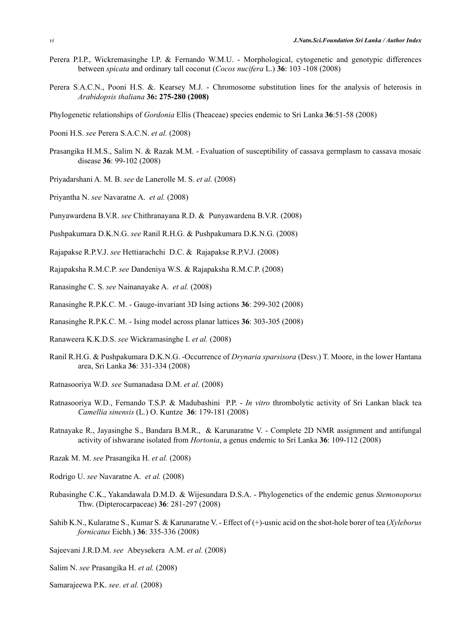- Perera P.I.P., Wickremasinghe I.P. & Fernando W.M.U. Morphological, cytogenetic and genotypic differences between *spicata* and ordinary tall coconut (*Cocos nucifera* L.) **36**: 103 -108 (2008)
- Perera S.A.C.N., Pooni H.S. &. Kearsey M.J. Chromosome substitution lines for the analysis of heterosis in *Arabidopsis thaliana* **36: 275-280 (2008)**
- Phylogenetic relationships of *Gordonia* Ellis (Theaceae) species endemic to Sri Lanka **36**:51-58 (2008)
- Pooni H.S. *see* Perera S.A.C.N. *et al.* (2008)
- Prasangika H.M.S., Salim N. & Razak M.M. Evaluation of susceptibility of cassava germplasm to cassava mosaic disease **36**: 99-102 (2008)
- Priyadarshani A. M. B. *see* de Lanerolle M. S. *et al.* (2008)
- Priyantha N. *see* Navaratne A. *et al.* (2008)
- Punyawardena B.V.R. *see* Chithranayana R.D. & Punyawardena B.V.R. (2008)
- Pushpakumara D.K.N.G. *see* Ranil R.H.G. & Pushpakumara D.K.N.G. (2008)
- Rajapakse R.P.V.J. *see* Hettiarachchi D.C. & Rajapakse R.P.V.J. (2008)
- Rajapaksha R.M.C.P. *see* Dandeniya W.S. & Rajapaksha R.M.C.P. (2008)
- Ranasinghe C. S. *see* Nainanayake A. *et al.* (2008)
- Ranasinghe R.P.K.C. M. Gauge-invariant 3D Ising actions **36**: 299-302 (2008)
- Ranasinghe R.P.K.C. M. Ising model across planar lattices **36**: 303-305 (2008)
- Ranaweera K.K.D.S. *see* Wickramasinghe I. *et al.* (2008)
- Ranil R.H.G. & Pushpakumara D.K.N.G. -Occurrence of *Drynaria sparsisora* (Desv.) T. Moore, in the lower Hantana area, Sri Lanka **36**: 331-334 (2008)
- Ratnasooriya W.D. *see* Sumanadasa D.M. *et al.* (2008)
- Ratnasooriya W.D., Fernando T.S.P. & Madubashini P.P. *In vitro* thrombolytic activity of Sri Lankan black tea *Camellia sinensis* (L*.*) O. Kuntze **36**: 179-181 (2008)
- Ratnayake R., Jayasinghe S., Bandara B.M.R., & Karunaratne V. Complete 2D NMR assignment and antifungal activity of ishwarane isolated from *Hortonia*, a genus endemic to Sri Lanka **36**: 109-112 (2008)
- Razak M. M. *see* Prasangika H. *et al.* (2008)
- Rodrigo U. *see* Navaratne A. *et al.* (2008)
- Rubasinghe C.K., Yakandawala D.M.D. & Wijesundara D.S.A. Phylogenetics of the endemic genus *Stemonoporus* Thw. (Dipterocarpaceae) **36**: 281-297 (2008)
- Sahib K.N., Kularatne S., Kumar S. & Karunaratne V. Effect of (+)-usnic acid on the shot-hole borer of tea (*Xyleborus fornicatus* Eichh*.*) **36**: 335-336 (2008)
- Sajeevani J.R.D.M. *see* Abeysekera A.M. *et al.* (2008)
- Salim N. *see* Prasangika H. *et al.* (2008)
- Samarajeewa P.K. *see*. *et al.* (2008)